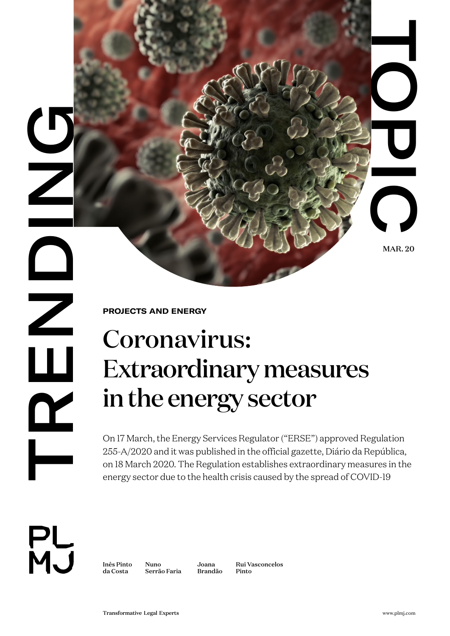**DRENDING** LUVI  $\mathbf{\underline{\alpha}}$ 

**PROJECTS AND ENERGY** 

## TRANSFORM<br>
TRANSFORMATION<br>
TRANSFORMATION<br>
CONTRACT COMPANY<br>
CONTRACT COMPANY<br>
CONTRACT COMPANY<br>
CONTRACT COMPANY<br>
CONTRACT COMPANY<br>
CONTRACT COMPANY<br>
CONTRACT COMPANY<br>
CONTRACT COMPANY<br>
CONTRACT COMPANY<br>
CONTRACT COMPANY<br> Coronavirus: Extraordinary measures in the energy sector

On 17 March, the Energy Services Regulator ("ERSE") approved Regulation 255-A/2020 and it was published in the official gazette, Diário da República, on 18 March 2020. The Regulation establishes extraordinary measures in the energy sector due to the health crisis caused by the spread of COVID-19



[Inês Pinto](https://www.plmj.com/en/people/partners/Ines-Pinto-da-Costa/9829/)  [da Costa](https://www.plmj.com/en/people/partners/Ines-Pinto-da-Costa/9829/)

[Nuno](https://www.plmj.com/en/people/senior-associates/Nuno-Serrao-Faria/9647/)  [Serrão Faria](https://www.plmj.com/en/people/senior-associates/Nuno-Serrao-Faria/9647/) [Joana](https://www.plmj.com/en/people/managing-associates/Joana-Brandao/9601/) 

[Brandão](https://www.plmj.com/en/people/managing-associates/Joana-Brandao/9601/) [Rui Vasconcelos](https://www.plmj.com/en/people/associates/Rui-Vasconcelos-Pinto/17904/)  [Pinto](https://www.plmj.com/en/people/associates/Rui-Vasconcelos-Pinto/17904/)

MAR. 20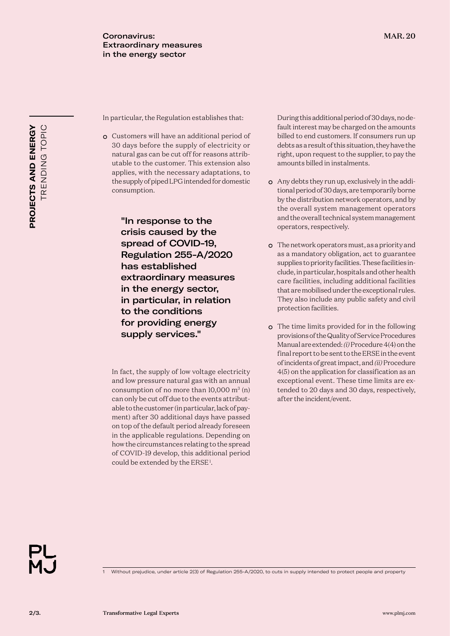In particular, the Regulation establishes that:

• Customers will have an additional period of 30 days before the supply of electricity or natural gas can be cut off for reasons attributable to the customer. This extension also applies, with the necessary adaptations, to the supply of piped LPG intended for domestic consumption.

> "In response to the crisis caused by the spread of COVID-19, Regulation 255-A/2020 has established extraordinary measures in the energy sector, in particular, in relation to the conditions for providing energy supply services."

In fact, the supply of low voltage electricity and low pressure natural gas with an annual consumption of no more than  $10,000$  m<sup>3</sup> (n) can only be cut off due to the events attributable to the customer (in particular, lack of payment) after 30 additional days have passed on top of the default period already foreseen in the applicable regulations. Depending on how the circumstances relating to the spread of COVID-19 develop, this additional period could be extended by the ERSE<sup>1</sup>.

During this additional period of 30 days, no default interest may be charged on the amounts billed to end customers. If consumers run up debts as a result of this situation, they have the right, upon request to the supplier, to pay the amounts billed in instalments.

- Any debts they run up, exclusively in the additional period of 30 days, are temporarily borne by the distribution network operators, and by the overall system management operators and the overall technical system management operators, respectively.
- The network operators must, as a priority and as a mandatory obligation, act to guarantee supplies to priority facilities. These facilities include, in particular, hospitals and other health care facilities, including additional facilities that are mobilised under the exceptional rules. They also include any public safety and civil protection facilities.
- The time limits provided for in the following provisions of the Quality of Service Procedures Manual are extended: *(i)* Procedure 4(4) on the final report to be sent to the ERSE in the event of incidents of great impact, and *(ii)* Procedure 4(5) on the application for classification as an exceptional event. These time limits are extended to 20 days and 30 days, respectively, after the incident/event.

1 Without prejudice, under article 2(3) of Regulation 255-A/2020, to cuts in supply intended to protect people and property